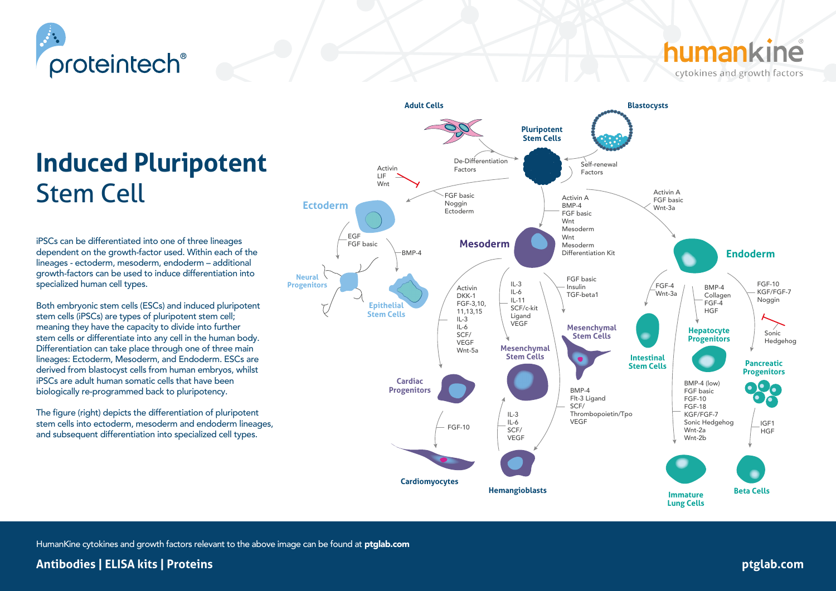

# cytokines and growth factors

# **Induced Pluripotent**  Stem Cell

iPSCs can be differentiated into one of three lineages dependent on the growth-factor used. Within each of the lineages - ectoderm, mesoderm, endoderm – additional growth-factors can be used to induce differentiation into specialized human cell types.

Both embryonic stem cells (ESCs) and induced pluripotent stem cells (iPSCs) are types of pluripotent stem cell; meaning they have the capacity to divide into further stem cells or differentiate into any cell in the human body. Differentiation can take place through one of three main lineages: Ectoderm, Mesoderm, and Endoderm. ESCs are derived from blastocyst cells from human embryos, whilst iPSCs are adult human somatic cells that have been biologically re-programmed back to pluripotency.

The figure (right) depicts the differentiation of pluripotent stem cells into ectoderm, mesoderm and endoderm lineages, and subsequent differentiation into specialized cell types.



HumanKine cytokines and growth factors relevant to the above image can be found at ptglab.com